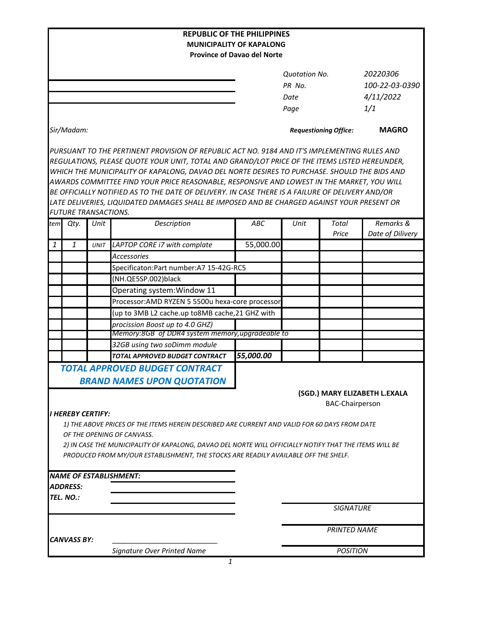|                                    |                             |             | <b>REPUBLIC OF THE PHILIPPINES</b>                                                                     |                                                         |                              |                  |                               |
|------------------------------------|-----------------------------|-------------|--------------------------------------------------------------------------------------------------------|---------------------------------------------------------|------------------------------|------------------|-------------------------------|
|                                    |                             |             | <b>MUNICIPALITY OF KAPALONG</b>                                                                        |                                                         |                              |                  |                               |
| <b>Province of Davao del Norte</b> |                             |             |                                                                                                        |                                                         |                              |                  |                               |
|                                    |                             |             |                                                                                                        |                                                         | <b>Ouotation No.</b>         |                  | 20220306                      |
|                                    |                             |             |                                                                                                        |                                                         | PR No.                       |                  | 100-22-03-0390                |
|                                    |                             |             |                                                                                                        |                                                         | Date                         |                  | 4/11/2022                     |
|                                    |                             |             |                                                                                                        |                                                         | Page                         |                  | 1/1                           |
|                                    |                             |             |                                                                                                        |                                                         |                              |                  |                               |
| Sir/Madam:                         |                             |             |                                                                                                        |                                                         | <b>Requestioning Office:</b> |                  | <b>MAGRO</b>                  |
|                                    |                             |             | PURSUANT TO THE PERTINENT PROVISION OF REPUBLIC ACT NO. 9184 AND IT'S IMPLEMENTING RULES AND           |                                                         |                              |                  |                               |
|                                    |                             |             | REGULATIONS, PLEASE QUOTE YOUR UNIT, TOTAL AND GRAND/LOT PRICE OF THE ITEMS LISTED HEREUNDER,          |                                                         |                              |                  |                               |
|                                    |                             |             | WHICH THE MUNICIPALITY OF KAPALONG, DAVAO DEL NORTE DESIRES TO PURCHASE. SHOULD THE BIDS AND           |                                                         |                              |                  |                               |
|                                    |                             |             | AWARDS COMMITTEE FIND YOUR PRICE REASONABLE, RESPONSIVE AND LOWEST IN THE MARKET, YOU WILL             |                                                         |                              |                  |                               |
|                                    |                             |             | BE OFFICIALLY NOTIFIED AS TO THE DATE OF DELIVERY. IN CASE THERE IS A FAILURE OF DELIVERY AND/OR       |                                                         |                              |                  |                               |
|                                    |                             |             | LATE DELIVERIES, LIQUIDATED DAMAGES SHALL BE IMPOSED AND BE CHARGED AGAINST YOUR PRESENT OR            |                                                         |                              |                  |                               |
|                                    | <b>FUTURE TRANSACTIONS.</b> |             |                                                                                                        |                                                         |                              |                  |                               |
| tem                                | Qty.                        | Unit        | Description                                                                                            | ABC                                                     | Unit                         | Total<br>Price   | Remarks &<br>Date of Dilivery |
| $\mathbf{1}$                       | $\mathbf{1}$                | <b>UNIT</b> | LAPTOP CORE i7 with complate                                                                           | 55,000.00                                               |                              |                  |                               |
|                                    |                             |             | <b>Accessories</b>                                                                                     |                                                         |                              |                  |                               |
|                                    |                             |             | Specificaton: Part number: A7 15-42G-RC5                                                               |                                                         |                              |                  |                               |
|                                    |                             |             | (NH.QE5SP.002)black                                                                                    |                                                         |                              |                  |                               |
|                                    |                             |             | Operating system: Window 11                                                                            |                                                         |                              |                  |                               |
|                                    |                             |             | Processor: AMD RYZEN 5 5500u hexa-core processor                                                       |                                                         |                              |                  |                               |
|                                    |                             |             | (up to 3MB L2 cache.up to8MB cache, 21 GHZ with                                                        |                                                         |                              |                  |                               |
|                                    |                             |             | procission Boost up to 4.0 GHZ)                                                                        |                                                         |                              |                  |                               |
|                                    |                             |             | Memory:8GB of DDR4 system memory, upgradeable to                                                       |                                                         |                              |                  |                               |
|                                    |                             |             | 32GB using two soDimm module                                                                           |                                                         |                              |                  |                               |
|                                    |                             |             | TOTAL APPROVED BUDGET CONTRACT                                                                         | 55,000.00                                               |                              |                  |                               |
|                                    |                             |             | <b>TOTAL APPROVED BUDGET CONTRACT</b>                                                                  |                                                         |                              |                  |                               |
|                                    |                             |             | <b>BRAND NAMES UPON QUOTATION</b>                                                                      |                                                         |                              |                  |                               |
|                                    |                             |             |                                                                                                        |                                                         |                              |                  |                               |
|                                    |                             |             |                                                                                                        | (SGD.) MARY ELIZABETH L.EXALA<br><b>BAC-Chairperson</b> |                              |                  |                               |
|                                    | I HEREBY CERTIFY:           |             |                                                                                                        |                                                         |                              |                  |                               |
|                                    |                             |             | 1) THE ABOVE PRICES OF THE ITEMS HEREIN DESCRIBED ARE CURRENT AND VALID FOR 60 DAYS FROM DATE          |                                                         |                              |                  |                               |
|                                    |                             |             | OF THE OPENING OF CANVASS.                                                                             |                                                         |                              |                  |                               |
|                                    |                             |             | 2) IN CASE THE MUNICIPALITY OF KAPALONG, DAVAO DEL NORTE WILL OFFICIALLY NOTIFY THAT THE ITEMS WILL BE |                                                         |                              |                  |                               |
|                                    |                             |             | PRODUCED FROM MY/OUR ESTABLISHMENT, THE STOCKS ARE READILY AVAILABLE OFF THE SHELF.                    |                                                         |                              |                  |                               |
|                                    |                             |             |                                                                                                        |                                                         |                              |                  |                               |
|                                    |                             |             | <b>NAME OF ESTABLISHMENT:</b>                                                                          |                                                         |                              |                  |                               |
|                                    | ADDRESS:                    |             |                                                                                                        |                                                         |                              |                  |                               |
|                                    | TEL. NO.:                   |             |                                                                                                        |                                                         |                              |                  |                               |
|                                    |                             |             |                                                                                                        |                                                         |                              | <b>SIGNATURE</b> |                               |
|                                    |                             |             |                                                                                                        |                                                         | <b>PRINTED NAME</b>          |                  |                               |
| <b>CANVASS BY:</b>                 |                             |             |                                                                                                        |                                                         |                              |                  |                               |
|                                    |                             |             | Signature Over Printed Name                                                                            |                                                         |                              | <b>POSITION</b>  |                               |
|                                    |                             |             |                                                                                                        |                                                         |                              |                  |                               |